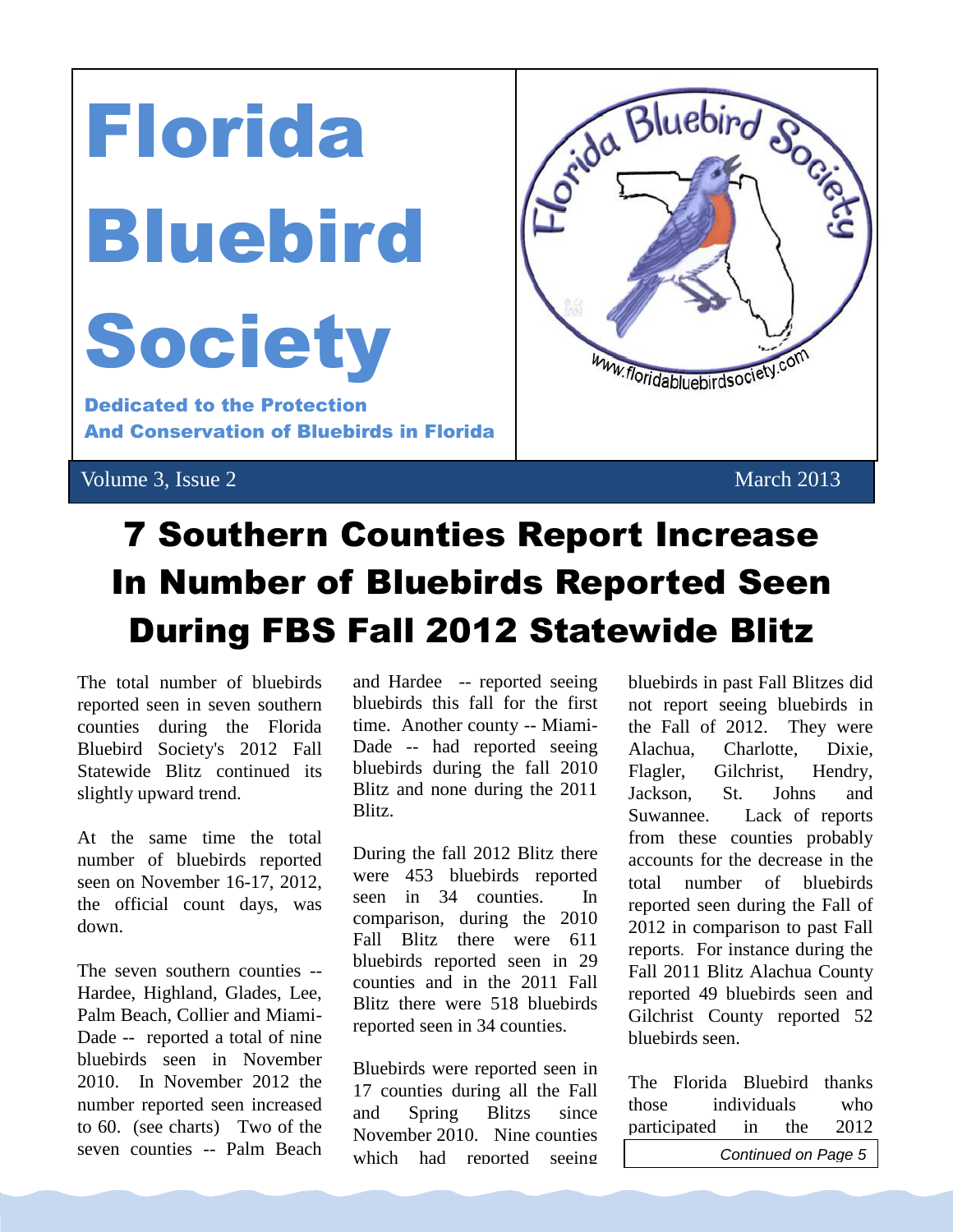

# 7 Southern Counties Report Increase In Number of Bluebirds Reported Seen During FBS Fall 2012 Statewide Blitz

The total number of bluebirds reported seen in seven southern counties during the Florida Bluebird Society's 2012 Fall Statewide Blitz continued its slightly upward trend.

At the same time the total number of bluebirds reported seen on November 16-17, 2012, the official count days, was down.

The seven southern counties -- Hardee, Highland, Glades, Lee, Palm Beach, Collier and Miami-Dade -- reported a total of nine bluebirds seen in November 2010. In November 2012 the number reported seen increased to 60. (see charts) Two of the seven counties -- Palm Beach

bluebirds this fall for the first

and Hardee -- reported seeing bluebirds this fall for the first time. Another county -- Miami-Dade -- had reported seeing bluebirds during the fall 2010 Blitz and none during the 2011 Blitz.

During the fall 2012 Blitz there were 453 bluebirds reported seen in 34 counties. In comparison, during the 2010 Fall Blitz there were 611 bluebirds reported seen in 29 counties and in the 2011 Fall Blitz there were 518 bluebirds reported seen in 34 counties.

Bluebirds were reported seen in 17 counties during all the Fall and Spring Blitzs since November 2010. Nine counties which had reported seeing bluebirds in past Fall Blitzes did not report seeing bluebirds in the Fall of 2012. They were Alachua, Charlotte, Dixie, Flagler, Gilchrist, Hendry, Jackson, St. Johns and Suwannee. Lack of reports from these counties probably accounts for the decrease in the total number of bluebirds reported seen during the Fall of 2012 in comparison to past Fall reports. For instance during the Fall 2011 Blitz Alachua County reported 49 bluebirds seen and Gilchrist County reported 52 bluebirds seen.

The Florida Bluebird thanks those individuals who participated in the 2012 **Continued on Page 5** 

compilation of sightings is one way the FBS seeks to determine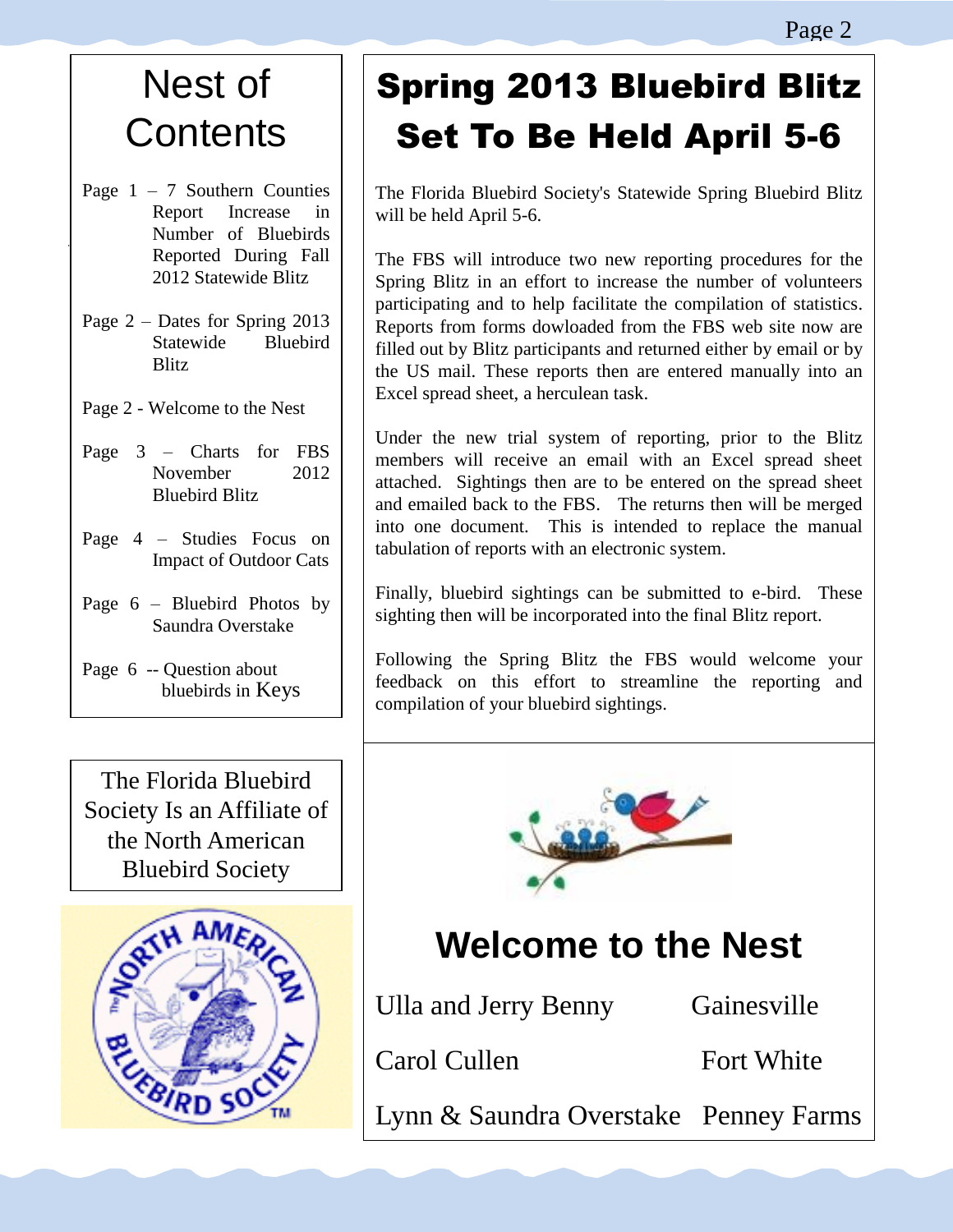# Nest of **Contents**

- Page  $1 7$  Southern Counties Report Increase in Number of Bluebirds Reported During Fall 2012 Statewide Blitz
- Page 2 Dates for Spring 2013 Statewide Bluebird **Blitz**
- Page 2 Welcome to the Nest
- Page 3 Charts for FBS November 2012 Bluebird Blitz
- Page 4 Studies Focus on Impact of Outdoor Cats
- Page 6 Bluebird Photos by Saundra Overstake
- Page 6 -- Question about bluebirds in Keys

The Florida Bluebird Society Is an Affiliate of the North American Bluebird Society



# Spring 2013 Bluebird Blitz Set To Be Held April 5-6

The Florida Bluebird Society's Statewide Spring Bluebird Blitz will be held April 5-6.

The FBS will introduce two new reporting procedures for the Spring Blitz in an effort to increase the number of volunteers participating and to help facilitate the compilation of statistics. Reports from forms dowloaded from the FBS web site now are filled out by Blitz participants and returned either by email or by the US mail. These reports then are entered manually into an Excel spread sheet, a herculean task.

Under the new trial system of reporting, prior to the Blitz members will receive an email with an Excel spread sheet attached. Sightings then are to be entered on the spread sheet and emailed back to the FBS. The returns then will be merged into one document. This is intended to replace the manual tabulation of reports with an electronic system.

Finally, bluebird sightings can be submitted to e-bird. These sighting then will be incorporated into the final Blitz report.

Following the Spring Blitz the FBS would welcome your feedback on this effort to streamline the reporting and compilation of your bluebird sightings.



### **Welcome to the Nest**

| Ulla and Jerry Benny                  | Gainesville |
|---------------------------------------|-------------|
| Carol Cullen                          | Fort White  |
| Lynn & Saundra Overstake Penney Farms |             |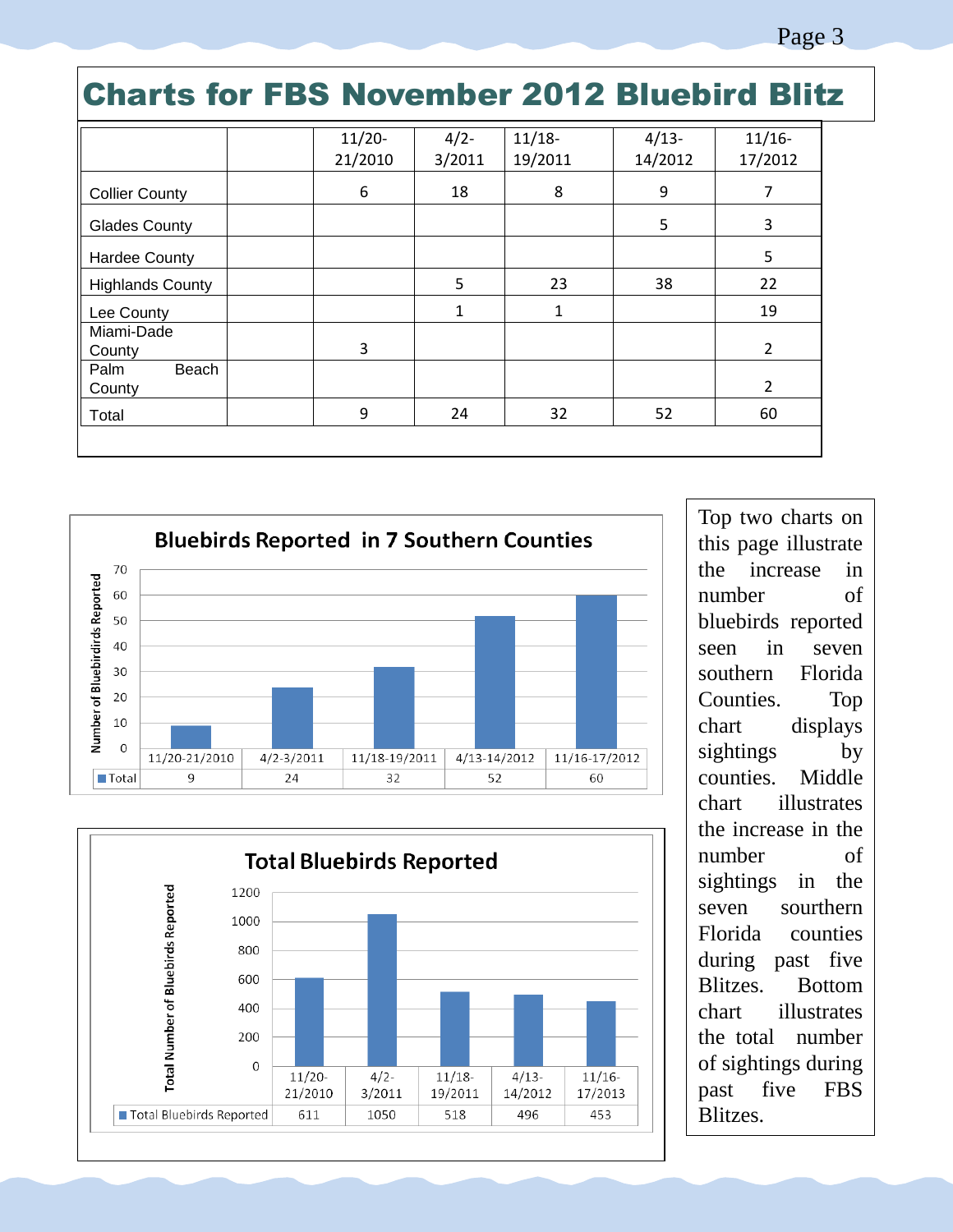### Charts for FBS November 2012 Bluebird Blitz

|                         | $11/20-$ | $4/2 -$ | $11/18-$ | $4/13-$ | $11/16-$       |
|-------------------------|----------|---------|----------|---------|----------------|
|                         | 21/2010  | 3/2011  | 19/2011  | 14/2012 | 17/2012        |
| <b>Collier County</b>   | 6        | 18      | 8        | 9       | 7              |
| <b>Glades County</b>    |          |         |          | 5       | 3              |
| Hardee County           |          |         |          |         | 5              |
| <b>Highlands County</b> |          | 5       | 23       | 38      | 22             |
| Lee County              |          | 1       | 1        |         | 19             |
| Miami-Dade<br>County    | 3        |         |          |         | 2              |
| Beach<br>Palm<br>County |          |         |          |         | $\overline{2}$ |
| Total                   | 9        | 24      | 32       | 52      | 60             |
|                         |          |         |          |         |                |





Top two charts on this page illustrate the increase in number of bluebirds reported seen in seven southern Florida Counties. Top chart displays sightings by counties. Middle chart illustrates the increase in the number of sightings in the seven sourthern Florida counties during past five Blitzes. Bottom chart illustrates the total number of sightings during past five FBS Blitzes.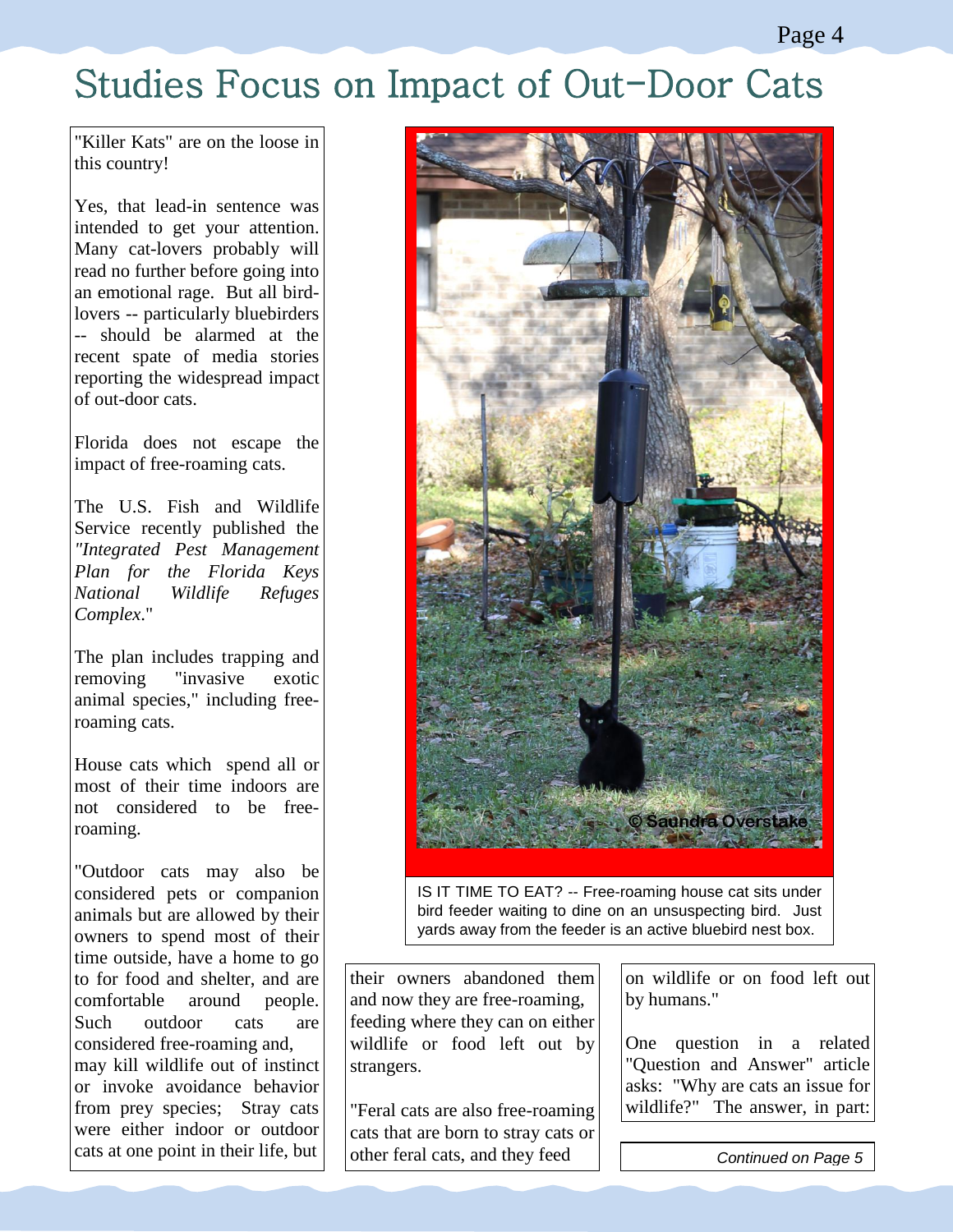### Studies Focus on Impact of Out-Door Cats

"Killer Kats" are on the loose in this country!

Yes, that lead-in sentence was intended to get your attention. Many cat-lovers probably will read no further before going into an emotional rage. But all birdlovers -- particularly bluebirders -- should be alarmed at the recent spate of media stories reporting the widespread impact of out-door cats.

Florida does not escape the impact of free-roaming cats.

The U.S. Fish and Wildlife Service recently published the *"Integrated Pest Management Plan for the Florida Keys National Wildlife Refuges Complex*."

The plan includes trapping and removing "invasive exotic animal species," including freeroaming cats.

House cats which spend all or most of their time indoors are not considered to be freeroaming.

"Outdoor cats may also be considered pets or companion animals but are allowed by their owners to spend most of their time outside, have a home to go to for food and shelter, and are comfortable around people. Such outdoor cats are considered free-roaming and, may kill wildlife out of instinct or invoke avoidance behavior from prey species; Stray cats were either indoor or outdoor cats at one point in their life, but



IS IT TIME TO EAT? -- Free-roaming house cat sits under bird feeder waiting to dine on an unsuspecting bird. Just yards away from the feeder is an active bluebird nest box.

their owners abandoned them and now they are free-roaming, feeding where they can on either wildlife or food left out by strangers.

"Feral cats are also free-roaming cats that are born to stray cats or other feral cats, and they feed

on wildlife or on food left out by humans."

One question in a related "Question and Answer" article asks: "Why are cats an issue for wildlife?" The answer, in part:

"...Scientists estimates estimates estimates estimates estimates estimates estimates estimates estimates estim

millions of native birds and

**Continued on Page 5** roaming cats kill hundreds of the stage of the stage of the stage of the stage of the stage of the stage of the stage of the stage of the stage of the stage of the stage of the stage of the stage of the stage of the stage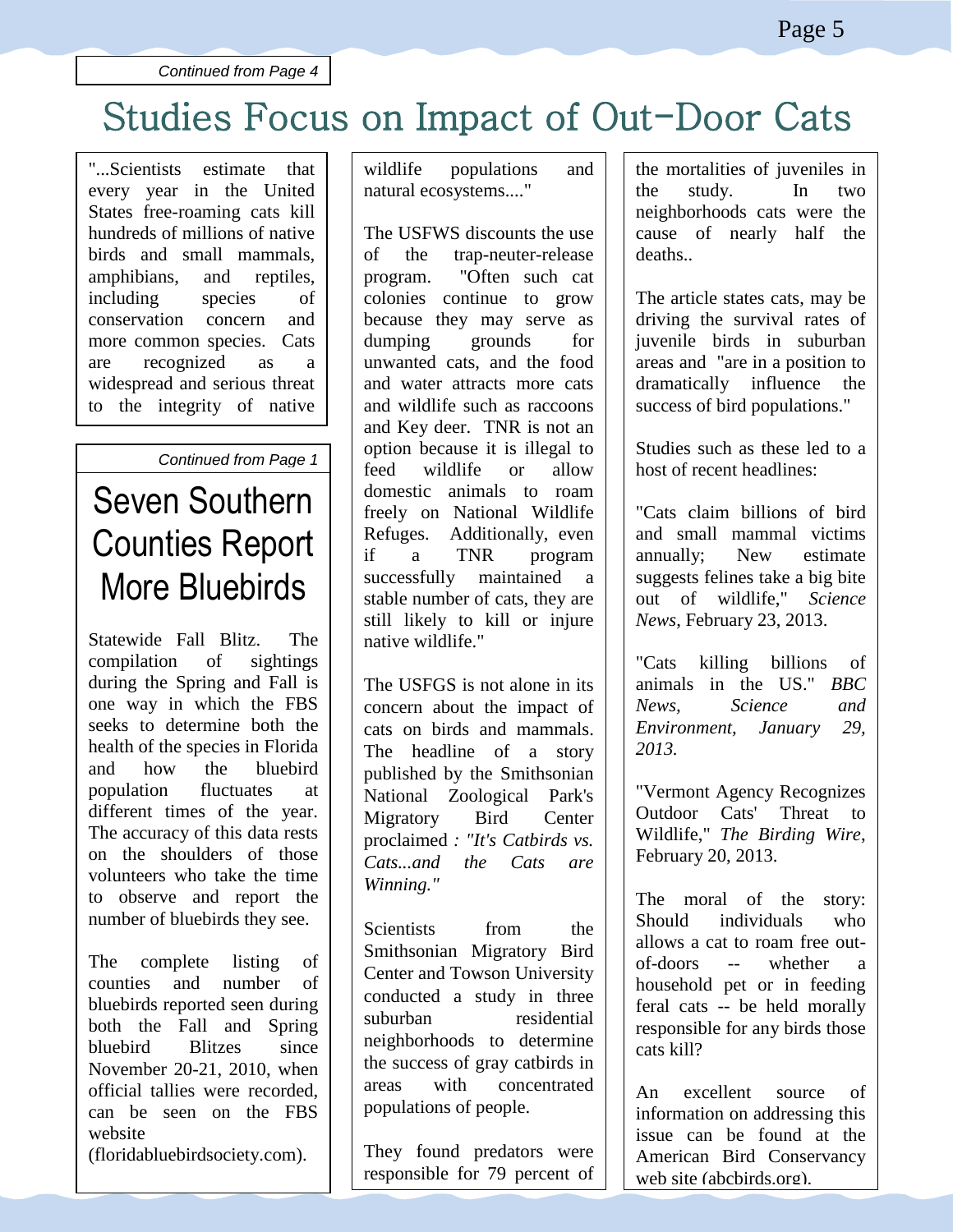*Continued from Page 4*

# Studies Focus on Impact of Out-Door Cats

"...Scientists estimate that every year in the United States free-roaming cats kill hundreds of millions of native birds and small mammals, amphibians, and reptiles, including species of conservation concern and more common species. Cats are recognized as a widespread and serious threat to the integrity of native wildlife populations and populations and populations and populations and populations and populations and popula<br>The contract of the contract of the contract of the contract of the contract of the contract of the contract o

#### **Continued from Page 1**

#### Seven Southern **Counties Report** More Bluebirds program, the USFWS says, the USFWS says of USFWS says and USFWS says the USFWS says the USFWS says the USFWS says the USFWS says the USFWS says the USFWS says the USFWS says the USFWS says the USFWS says the USFWS says the program typical conservations in the set of the set of the set of the set of the set of the set of the set of the set of the set of the set of the set of the set of the set of the set of the set of the set of the set of th

Statewide Fall Blitz. The compilation of sightings during the Spring and Fall is during the spring and ran is<br>one way in which the FBS one way in which the 1 B<sub>3</sub><br>seeks to determine both the seeks to determine both the<br>health of the species in Florida and how the bluebird and now the *blacch* a population intertances at The accuracy of this data rests on the shoulders of those volunteers who take the time to observe and report the number of bluebirds they see. un-owned cats that are Statewide  $\Gamma$ all  $\Gamma$ ing  $\Gamma$  $\frac{1}{2}$  compitation of signifies nearm of the species in Froncia and Key deer. TNR is not an

The complete listing of counties and number of bluebirds reported seen during both the Fall and Spring bluebird Blitzes since November 20-21, 2010, when official tallies were recorded, can be seen on the FBS website website

(floridabluebirdsociety.com). (floridabluebird)

wildlife populations and natural ecosystems...."

The USFWS discounts the use of the trap-neuter-release program. "Often such cat colonies continue to grow because they may serve as dumping grounds for unwanted cats, and the food and water attracts more cats and wildlife such as raccoons and Key deer. TNR is not an option because it is illegal to feed wildlife or allow domestic animals to roam freely on National Wildlife Refuges. Additionally, even if a TNR program successfully maintained a stable number of cats, they are still likely to kill or injure native wildlife."

The USFGS is not alone in its concern about the impact of cats on birds and mammals. The headline of a story published by the Smithsonian National Zoological Park's Migratory Bird Center proclaimed *: "It's Catbirds vs. Cats...and the Cats are Winning."*

Scientists from the Smithsonian Migratory Bird Center and Towson University conducted a study in three suburban residential neighborhoods to determine the success of gray catbirds in areas with concentrated populations of people.

They found predators were responsible for 79 percent of

the mortalities of juveniles in

the mortalities of juveniles in the study. In two neighborhoods cats were the cause of nearly half the deaths..

The article states cats, may be driving the survival rates of juvenile birds in suburban areas and "are in a position to dramatically influence the success of bird populations."

Studies such as these led to a host of recent headlines:

"Cats claim billions of bird and small mammal victims annually; New estimate suggests felines take a big bite out of wildlife," *Science News*, February 23, 2013.

"Cats killing billions of animals in the US." *BBC News, Science and Environment, January 29, 2013.*

"Vermont Agency Recognizes Outdoor Cats' Threat to Wildlife," *The Birding Wire*, February 20, 2013.

The moral of the story: Should individuals who allows a cat to roam free outof-doors -- whether a household pet or in feeding feral cats -- be held morally responsible for any birds those cats kill?

An excellent source of information on addressing this issue can be found at the American Bird Conservancy web site (abcbirds.org).